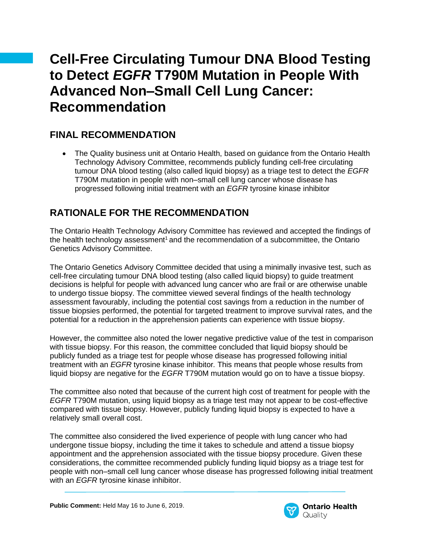# **Cell-Free Circulating Tumour DNA Blood Testing to Detect** *EGFR* **T790M Mutation in People With Advanced Non–Small Cell Lung Cancer: Recommendation**

## **FINAL RECOMMENDATION**

• The Quality business unit at Ontario Health, based on guidance from the Ontario Health Technology Advisory Committee, recommends publicly funding cell-free circulating tumour DNA blood testing (also called liquid biopsy) as a triage test to detect the *EGFR* T790M mutation in people with non–small cell lung cancer whose disease has progressed following initial treatment with an *EGFR* tyrosine kinase inhibitor

## **RATIONALE FOR THE RECOMMENDATION**

The Ontario Health Technology Advisory Committee has reviewed and accepted the findings of the health technology assessment<sup>1</sup> and the recommendation of a subcommittee, the Ontario Genetics Advisory Committee.

The Ontario Genetics Advisory Committee decided that using a minimally invasive test, such as cell-free circulating tumour DNA blood testing (also called liquid biopsy) to guide treatment decisions is helpful for people with advanced lung cancer who are frail or are otherwise unable to undergo tissue biopsy. The committee viewed several findings of the health technology assessment favourably, including the potential cost savings from a reduction in the number of tissue biopsies performed, the potential for targeted treatment to improve survival rates, and the potential for a reduction in the apprehension patients can experience with tissue biopsy.

However, the committee also noted the lower negative predictive value of the test in comparison with tissue biopsy. For this reason, the committee concluded that liquid biopsy should be publicly funded as a triage test for people whose disease has progressed following initial treatment with an *EGFR* tyrosine kinase inhibitor*.* This means that people whose results from liquid biopsy are negative for the *EGFR* T790M mutation would go on to have a tissue biopsy.

The committee also noted that because of the current high cost of treatment for people with the *EGFR* T790M mutation, using liquid biopsy as a triage test may not appear to be cost-effective compared with tissue biopsy. However, publicly funding liquid biopsy is expected to have a relatively small overall cost.

The committee also considered the lived experience of people with lung cancer who had undergone tissue biopsy, including the time it takes to schedule and attend a tissue biopsy appointment and the apprehension associated with the tissue biopsy procedure. Given these considerations, the committee recommended publicly funding liquid biopsy as a triage test for people with non–small cell lung cancer whose disease has progressed following initial treatment with an *EGFR* tyrosine kinase inhibitor.

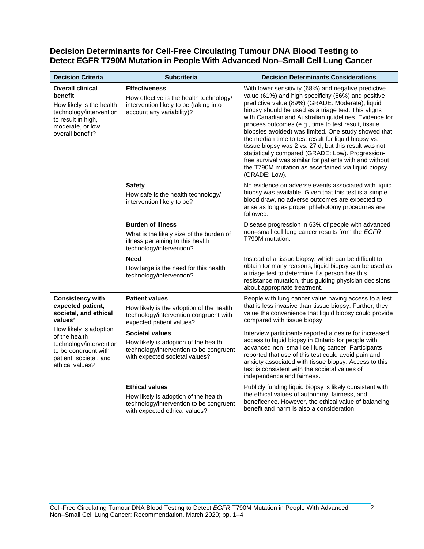#### **Decision Determinants for Cell-Free Circulating Tumour DNA Blood Testing to Detect EGFR T790M Mutation in People With Advanced Non–Small Cell Lung Cancer**

| <b>Decision Criteria</b>                                                                                                                                                                                                                | <b>Subcriteria</b>                                                                                                                          | <b>Decision Determinants Considerations</b>                                                                                                                                                                                                                                                                                                                                                                                                                                                                                                                                                                                                                                                             |
|-----------------------------------------------------------------------------------------------------------------------------------------------------------------------------------------------------------------------------------------|---------------------------------------------------------------------------------------------------------------------------------------------|---------------------------------------------------------------------------------------------------------------------------------------------------------------------------------------------------------------------------------------------------------------------------------------------------------------------------------------------------------------------------------------------------------------------------------------------------------------------------------------------------------------------------------------------------------------------------------------------------------------------------------------------------------------------------------------------------------|
| <b>Overall clinical</b><br>benefit<br>How likely is the health<br>technology/intervention<br>to result in high,<br>moderate, or low<br>overall benefit?                                                                                 | <b>Effectiveness</b><br>How effective is the health technology/<br>intervention likely to be (taking into<br>account any variability)?      | With lower sensitivity (68%) and negative predictive<br>value (61%) and high specificity (86%) and positive<br>predictive value (89%) (GRADE: Moderate), liquid<br>biopsy should be used as a triage test. This aligns<br>with Canadian and Australian guidelines. Evidence for<br>process outcomes (e.g., time to test result, tissue<br>biopsies avoided) was limited. One study showed that<br>the median time to test result for liquid biopsy vs.<br>tissue biopsy was 2 vs. 27 d, but this result was not<br>statistically compared (GRADE: Low). Progression-<br>free survival was similar for patients with and without<br>the T790M mutation as ascertained via liquid biopsy<br>(GRADE: Low). |
|                                                                                                                                                                                                                                         | <b>Safety</b><br>How safe is the health technology/<br>intervention likely to be?                                                           | No evidence on adverse events associated with liquid<br>biopsy was available. Given that this test is a simple<br>blood draw, no adverse outcomes are expected to<br>arise as long as proper phlebotomy procedures are<br>followed.                                                                                                                                                                                                                                                                                                                                                                                                                                                                     |
|                                                                                                                                                                                                                                         | <b>Burden of illness</b><br>What is the likely size of the burden of<br>illness pertaining to this health<br>technology/intervention?       | Disease progression in 63% of people with advanced<br>non-small cell lung cancer results from the EGFR<br>T790M mutation.                                                                                                                                                                                                                                                                                                                                                                                                                                                                                                                                                                               |
|                                                                                                                                                                                                                                         | <b>Need</b><br>How large is the need for this health<br>technology/intervention?                                                            | Instead of a tissue biopsy, which can be difficult to<br>obtain for many reasons, liquid biopsy can be used as<br>a triage test to determine if a person has this<br>resistance mutation, thus guiding physician decisions<br>about appropriate treatment.                                                                                                                                                                                                                                                                                                                                                                                                                                              |
| <b>Consistency with</b><br>expected patient,<br>societal, and ethical<br>values <sup>a</sup><br>How likely is adoption<br>of the health<br>technology/intervention<br>to be congruent with<br>patient, societal, and<br>ethical values? | <b>Patient values</b><br>How likely is the adoption of the health<br>technology/intervention congruent with<br>expected patient values?     | People with lung cancer value having access to a test<br>that is less invasive than tissue biopsy. Further, they<br>value the convenience that liquid biopsy could provide<br>compared with tissue biopsy.                                                                                                                                                                                                                                                                                                                                                                                                                                                                                              |
|                                                                                                                                                                                                                                         | <b>Societal values</b><br>How likely is adoption of the health<br>technology/intervention to be congruent<br>with expected societal values? | Interview participants reported a desire for increased<br>access to liquid biopsy in Ontario for people with<br>advanced non-small cell lung cancer. Participants<br>reported that use of this test could avoid pain and<br>anxiety associated with tissue biopsy. Access to this<br>test is consistent with the societal values of<br>independence and fairness.                                                                                                                                                                                                                                                                                                                                       |
|                                                                                                                                                                                                                                         | <b>Ethical values</b><br>How likely is adoption of the health<br>technology/intervention to be congruent<br>with expected ethical values?   | Publicly funding liquid biopsy is likely consistent with<br>the ethical values of autonomy, fairness, and<br>beneficence. However, the ethical value of balancing<br>benefit and harm is also a consideration.                                                                                                                                                                                                                                                                                                                                                                                                                                                                                          |

 $\overline{2}$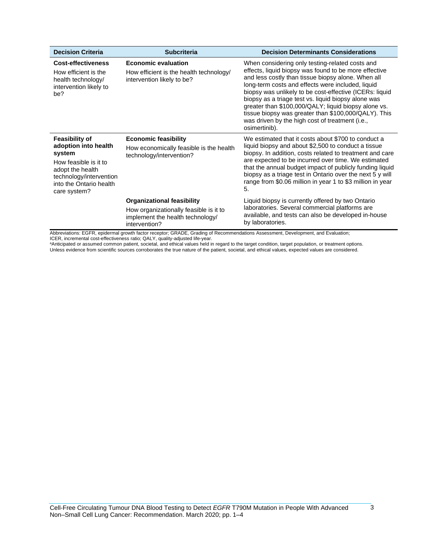| <b>Decision Criteria</b>                                                                                                                                                   | <b>Subcriteria</b>                                                                                                               | <b>Decision Determinants Considerations</b>                                                                                                                                                                                                                                                                                                                                                                                                                                                                               |
|----------------------------------------------------------------------------------------------------------------------------------------------------------------------------|----------------------------------------------------------------------------------------------------------------------------------|---------------------------------------------------------------------------------------------------------------------------------------------------------------------------------------------------------------------------------------------------------------------------------------------------------------------------------------------------------------------------------------------------------------------------------------------------------------------------------------------------------------------------|
| <b>Cost-effectiveness</b><br>How efficient is the<br>health technology/<br>intervention likely to<br>be?                                                                   | <b>Economic evaluation</b><br>How efficient is the health technology/<br>intervention likely to be?                              | When considering only testing-related costs and<br>effects, liquid biopsy was found to be more effective<br>and less costly than tissue biopsy alone. When all<br>long-term costs and effects were included, liquid<br>biopsy was unlikely to be cost-effective (ICERs: liquid<br>biopsy as a triage test vs. liquid biopsy alone was<br>greater than \$100,000/QALY; liquid biopsy alone vs.<br>tissue biopsy was greater than \$100,000/QALY). This<br>was driven by the high cost of treatment (i.e.,<br>osimertinib). |
| <b>Feasibility of</b><br>adoption into health<br>system<br>How feasible is it to<br>adopt the health<br>technology/intervention<br>into the Ontario health<br>care system? | <b>Economic feasibility</b><br>How economically feasible is the health<br>technology/intervention?                               | We estimated that it costs about \$700 to conduct a<br>liquid biopsy and about \$2,500 to conduct a tissue<br>biopsy. In addition, costs related to treatment and care<br>are expected to be incurred over time. We estimated<br>that the annual budget impact of publicly funding liquid<br>biopsy as a triage test in Ontario over the next 5 y will<br>range from \$0.06 million in year 1 to \$3 million in year<br>5.                                                                                                |
|                                                                                                                                                                            | <b>Organizational feasibility</b><br>How organizationally feasible is it to<br>implement the health technology/<br>intervention? | Liquid biopsy is currently offered by two Ontario<br>laboratories. Several commercial platforms are<br>available, and tests can also be developed in-house<br>by laboratories.                                                                                                                                                                                                                                                                                                                                            |

Abbreviations: EGFR, epidermal growth factor receptor; GRADE, Grading of Recommendations Assessment, Development, and Evaluation;

ICER, incremental cost-effectiveness ratio; QALY, quality-adjusted life-year.<br>ªAnticipated or assumed common patient, societal, and ethical values held in regard to the target condition, target population, or treatment opt Unless evidence from scientific sources corroborates the true nature of the patient, societal, and ethical values, expected values are considered.